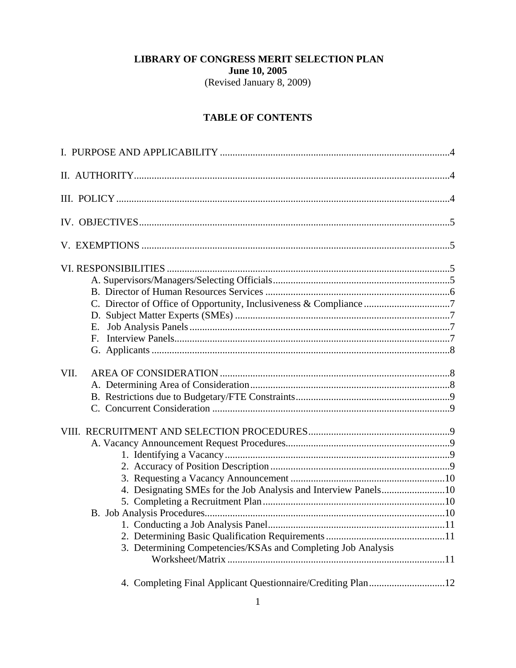# LIBRARY OF CONGRESS MERIT SELECTION PLAN **June 10, 2005**

(Revised January 8, 2009)

# **TABLE OF CONTENTS**

| E.                                                                                                                              |  |
|---------------------------------------------------------------------------------------------------------------------------------|--|
| VII.                                                                                                                            |  |
| 4. Designating SMEs for the Job Analysis and Interview Panels10<br>3. Determining Competencies/KSAs and Completing Job Analysis |  |
| 4. Completing Final Applicant Questionnaire/Crediting Plan12                                                                    |  |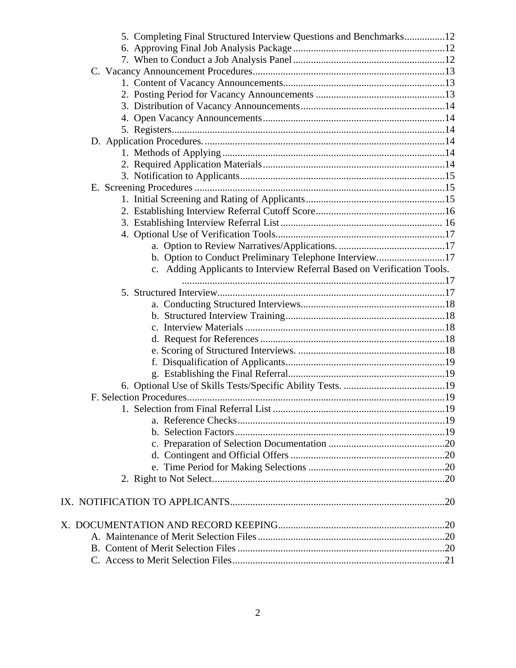| 5. Completing Final Structured Interview Questions and Benchmarks12     |  |
|-------------------------------------------------------------------------|--|
|                                                                         |  |
|                                                                         |  |
|                                                                         |  |
|                                                                         |  |
|                                                                         |  |
|                                                                         |  |
|                                                                         |  |
|                                                                         |  |
|                                                                         |  |
|                                                                         |  |
|                                                                         |  |
|                                                                         |  |
|                                                                         |  |
|                                                                         |  |
|                                                                         |  |
|                                                                         |  |
|                                                                         |  |
|                                                                         |  |
| b. Option to Conduct Preliminary Telephone Interview17                  |  |
| c. Adding Applicants to Interview Referral Based on Verification Tools. |  |
|                                                                         |  |
|                                                                         |  |
|                                                                         |  |
|                                                                         |  |
|                                                                         |  |
|                                                                         |  |
|                                                                         |  |
|                                                                         |  |
|                                                                         |  |
|                                                                         |  |
|                                                                         |  |
|                                                                         |  |
|                                                                         |  |
|                                                                         |  |
|                                                                         |  |
|                                                                         |  |
|                                                                         |  |
|                                                                         |  |
|                                                                         |  |
|                                                                         |  |
|                                                                         |  |
|                                                                         |  |
|                                                                         |  |
|                                                                         |  |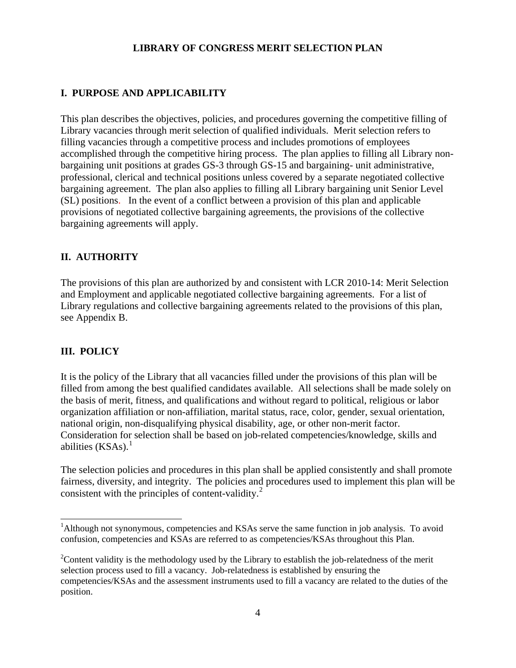### **LIBRARY OF CONGRESS MERIT SELECTION PLAN**

## **I. PURPOSE AND APPLICABILITY**

This plan describes the objectives, policies, and procedures governing the competitive filling of Library vacancies through merit selection of qualified individuals. Merit selection refers to filling vacancies through a competitive process and includes promotions of employees accomplished through the competitive hiring process. The plan applies to filling all Library nonbargaining unit positions at grades GS-3 through GS-15 and bargaining- unit administrative, professional, clerical and technical positions unless covered by a separate negotiated collective bargaining agreement. The plan also applies to filling all Library bargaining unit Senior Level (SL) positions. In the event of a conflict between a provision of this plan and applicable provisions of negotiated collective bargaining agreements, the provisions of the collective bargaining agreements will apply.

### **II. AUTHORITY**

The provisions of this plan are authorized by and consistent with LCR 2010-14: Merit Selection and Employment and applicable negotiated collective bargaining agreements. For a list of Library regulations and collective bargaining agreements related to the provisions of this plan, see Appendix B.

### **III. POLICY**

 $\overline{a}$ 

It is the policy of the Library that all vacancies filled under the provisions of this plan will be filled from among the best qualified candidates available. All selections shall be made solely on the basis of merit, fitness, and qualifications and without regard to political, religious or labor organization affiliation or non-affiliation, marital status, race, color, gender, sexual orientation, national origin, non-disqualifying physical disability, age, or other non-merit factor. Consideration for selection shall be based on job-related competencies/knowledge, skills and abilities  $(KSAs).<sup>1</sup>$  $(KSAs).<sup>1</sup>$  $(KSAs).<sup>1</sup>$ 

The selection policies and procedures in this plan shall be applied consistently and shall promote fairness, diversity, and integrity. The policies and procedures used to implement this plan will be consistent with the principles of content-validity.<sup>[2](#page-3-1)</sup>

<span id="page-3-0"></span><sup>&</sup>lt;sup>1</sup>Although not synonymous, competencies and KSAs serve the same function in job analysis. To avoid confusion, competencies and KSAs are referred to as competencies/KSAs throughout this Plan.

<span id="page-3-1"></span> $2^2$ Content validity is the methodology used by the Library to establish the job-relatedness of the merit selection process used to fill a vacancy. Job-relatedness is established by ensuring the competencies/KSAs and the assessment instruments used to fill a vacancy are related to the duties of the position.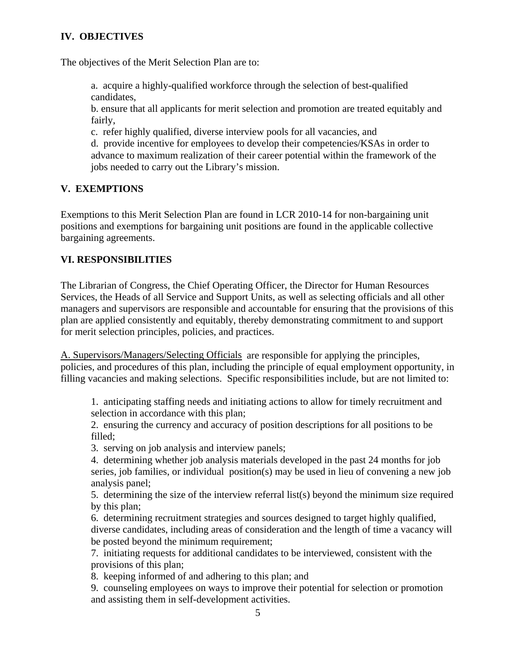# **IV. OBJECTIVES**

The objectives of the Merit Selection Plan are to:

a. acquire a highly-qualified workforce through the selection of best-qualified candidates,

b. ensure that all applicants for merit selection and promotion are treated equitably and fairly,

c. refer highly qualified, diverse interview pools for all vacancies, and

d. provide incentive for employees to develop their competencies/KSAs in order to advance to maximum realization of their career potential within the framework of the jobs needed to carry out the Library's mission.

### **V. EXEMPTIONS**

Exemptions to this Merit Selection Plan are found in LCR 2010-14 for non-bargaining unit positions and exemptions for bargaining unit positions are found in the applicable collective bargaining agreements.

## **VI. RESPONSIBILITIES**

The Librarian of Congress, the Chief Operating Officer, the Director for Human Resources Services, the Heads of all Service and Support Units, as well as selecting officials and all other managers and supervisors are responsible and accountable for ensuring that the provisions of this plan are applied consistently and equitably, thereby demonstrating commitment to and support for merit selection principles, policies, and practices.

A. Supervisors/Managers/Selecting Officials are responsible for applying the principles, policies, and procedures of this plan, including the principle of equal employment opportunity, in filling vacancies and making selections. Specific responsibilities include, but are not limited to:

1. anticipating staffing needs and initiating actions to allow for timely recruitment and selection in accordance with this plan;

2. ensuring the currency and accuracy of position descriptions for all positions to be filled;

3. serving on job analysis and interview panels;

4. determining whether job analysis materials developed in the past 24 months for job series, job families, or individual position(s) may be used in lieu of convening a new job analysis panel;

5. determining the size of the interview referral list(s) beyond the minimum size required by this plan;

6. determining recruitment strategies and sources designed to target highly qualified, diverse candidates, including areas of consideration and the length of time a vacancy will be posted beyond the minimum requirement;

7. initiating requests for additional candidates to be interviewed, consistent with the provisions of this plan;

8. keeping informed of and adhering to this plan; and

9. counseling employees on ways to improve their potential for selection or promotion and assisting them in self-development activities.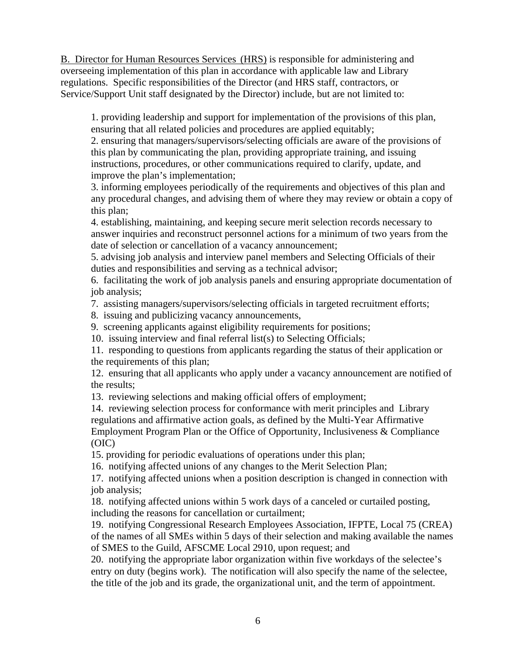B. Director for Human Resources Services (HRS) is responsible for administering and overseeing implementation of this plan in accordance with applicable law and Library regulations. Specific responsibilities of the Director (and HRS staff, contractors, or Service/Support Unit staff designated by the Director) include, but are not limited to:

1. providing leadership and support for implementation of the provisions of this plan, ensuring that all related policies and procedures are applied equitably;

2. ensuring that managers/supervisors/selecting officials are aware of the provisions of this plan by communicating the plan, providing appropriate training, and issuing instructions, procedures, or other communications required to clarify, update, and improve the plan's implementation;

3. informing employees periodically of the requirements and objectives of this plan and any procedural changes, and advising them of where they may review or obtain a copy of this plan;

4. establishing, maintaining, and keeping secure merit selection records necessary to answer inquiries and reconstruct personnel actions for a minimum of two years from the date of selection or cancellation of a vacancy announcement;

5. advising job analysis and interview panel members and Selecting Officials of their duties and responsibilities and serving as a technical advisor;

6. facilitating the work of job analysis panels and ensuring appropriate documentation of job analysis;

7. assisting managers/supervisors/selecting officials in targeted recruitment efforts;

8. issuing and publicizing vacancy announcements,

9. screening applicants against eligibility requirements for positions;

10. issuing interview and final referral list(s) to Selecting Officials;

11. responding to questions from applicants regarding the status of their application or the requirements of this plan;

12. ensuring that all applicants who apply under a vacancy announcement are notified of the results;

13. reviewing selections and making official offers of employment;

14. reviewing selection process for conformance with merit principles and Library regulations and affirmative action goals, as defined by the Multi-Year Affirmative Employment Program Plan or the Office of Opportunity, Inclusiveness & Compliance (OIC)

15. providing for periodic evaluations of operations under this plan;

16. notifying affected unions of any changes to the Merit Selection Plan;

17. notifying affected unions when a position description is changed in connection with job analysis;

18. notifying affected unions within 5 work days of a canceled or curtailed posting, including the reasons for cancellation or curtailment;

19. notifying Congressional Research Employees Association, IFPTE, Local 75 (CREA) of the names of all SMEs within 5 days of their selection and making available the names of SMES to the Guild, AFSCME Local 2910, upon request; and

20. notifying the appropriate labor organization within five workdays of the selectee's entry on duty (begins work). The notification will also specify the name of the selectee, the title of the job and its grade, the organizational unit, and the term of appointment.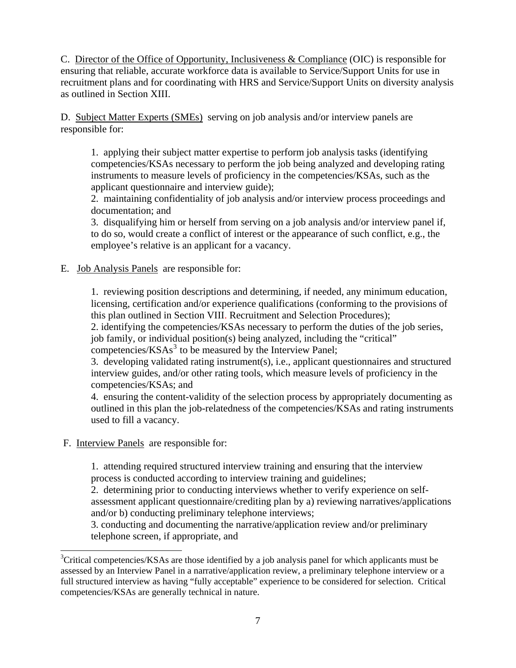C. Director of the Office of Opportunity, Inclusiveness & Compliance (OIC) is responsible for ensuring that reliable, accurate workforce data is available to Service/Support Units for use in recruitment plans and for coordinating with HRS and Service/Support Units on diversity analysis as outlined in Section XIII.

D. Subject Matter Experts (SMEs) serving on job analysis and/or interview panels are responsible for:

1. applying their subject matter expertise to perform job analysis tasks (identifying competencies/KSAs necessary to perform the job being analyzed and developing rating instruments to measure levels of proficiency in the competencies/KSAs, such as the applicant questionnaire and interview guide);

2. maintaining confidentiality of job analysis and/or interview process proceedings and documentation; and

3. disqualifying him or herself from serving on a job analysis and/or interview panel if, to do so, would create a conflict of interest or the appearance of such conflict, e.g., the employee's relative is an applicant for a vacancy.

E. Job Analysis Panels are responsible for:

1. reviewing position descriptions and determining, if needed, any minimum education, licensing, certification and/or experience qualifications (conforming to the provisions of this plan outlined in Section VIII. Recruitment and Selection Procedures);

2. identifying the competencies/KSAs necessary to perform the duties of the job series, job family, or individual position(s) being analyzed, including the "critical" competencies/KSAs<sup>[3](#page-6-0)</sup> to be measured by the Interview Panel;

3. developing validated rating instrument(s), i.e., applicant questionnaires and structured

interview guides, and/or other rating tools, which measure levels of proficiency in the competencies/KSAs; and

4. ensuring the content-validity of the selection process by appropriately documenting as outlined in this plan the job-relatedness of the competencies/KSAs and rating instruments used to fill a vacancy.

F. Interview Panels are responsible for:

 $\overline{a}$ 

1. attending required structured interview training and ensuring that the interview process is conducted according to interview training and guidelines;

2. determining prior to conducting interviews whether to verify experience on selfassessment applicant questionnaire/crediting plan by a) reviewing narratives/applications and/or b) conducting preliminary telephone interviews;

3. conducting and documenting the narrative/application review and/or preliminary telephone screen, if appropriate, and

<span id="page-6-0"></span><sup>&</sup>lt;sup>3</sup>Critical competencies/KSAs are those identified by a job analysis panel for which applicants must be assessed by an Interview Panel in a narrative/application review, a preliminary telephone interview or a full structured interview as having "fully acceptable" experience to be considered for selection. Critical competencies/KSAs are generally technical in nature.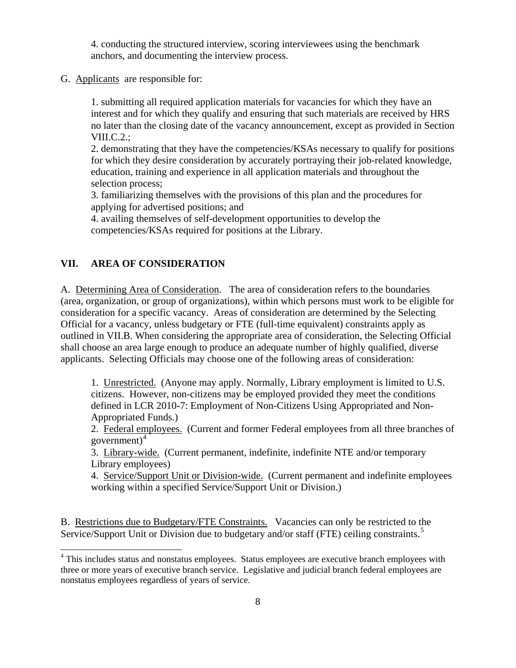4. conducting the structured interview, scoring interviewees using the benchmark anchors, and documenting the interview process.

G. Applicants are responsible for:

1. submitting all required application materials for vacancies for which they have an interest and for which they qualify and ensuring that such materials are received by HRS no later than the closing date of the vacancy announcement, except as provided in Section VIII.C.2.;

2. demonstrating that they have the competencies/KSAs necessary to qualify for positions for which they desire consideration by accurately portraying their job-related knowledge, education, training and experience in all application materials and throughout the selection process;

3. familiarizing themselves with the provisions of this plan and the procedures for applying for advertised positions; and

4. availing themselves of self-development opportunities to develop the competencies/KSAs required for positions at the Library.

### **VII. AREA OF CONSIDERATION**

A. Determining Area of Consideration. The area of consideration refers to the boundaries (area, organization, or group of organizations), within which persons must work to be eligible for consideration for a specific vacancy. Areas of consideration are determined by the Selecting Official for a vacancy, unless budgetary or FTE (full-time equivalent) constraints apply as outlined in VII.B. When considering the appropriate area of consideration, the Selecting Official shall choose an area large enough to produce an adequate number of highly qualified, diverse applicants. Selecting Officials may choose one of the following areas of consideration:

1. Unrestricted. (Anyone may apply. Normally, Library employment is limited to U.S. citizens. However, non-citizens may be employed provided they meet the conditions defined in LCR 2010-7: Employment of Non-Citizens Using Appropriated and Non-Appropriated Funds.)

2. Federal employees. (Current and former Federal employees from all three branches of government) $4$ 

3. Library-wide. (Current permanent, indefinite, indefinite NTE and/or temporary Library employees)

4. Service/Support Unit or Division-wide. (Current permanent and indefinite employees working within a specified Service/Support Unit or Division.)

<span id="page-7-1"></span>B. Restrictions due to Budgetary/FTE Constraints. Vacancies can only be restricted to the Service/Support Unit or Division due to budgetary and/or staff (FTE) ceiling constraints.<sup>[5](#page-7-1)</sup>

<span id="page-7-0"></span><sup>&</sup>lt;sup>4</sup> This includes status and nonstatus employees. Status employees are executive branch employees with three or more years of executive branch service. Legislative and judicial branch federal employees are nonstatus employees regardless of years of service.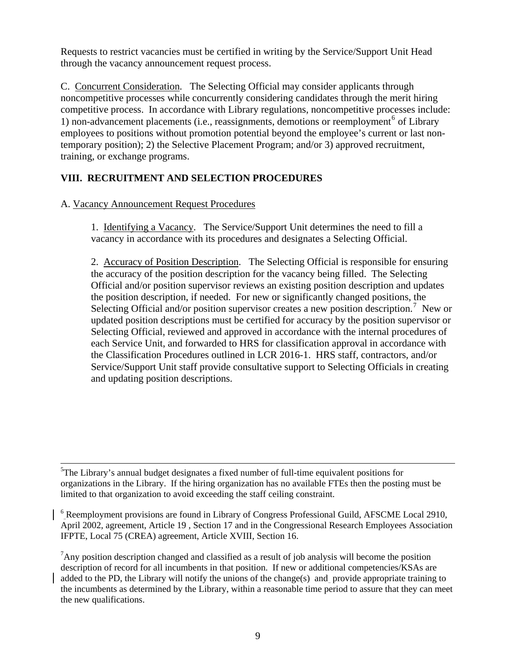Requests to restrict vacancies must be certified in writing by the Service/Support Unit Head through the vacancy announcement request process.

C. Concurrent Consideration. The Selecting Official may consider applicants through noncompetitive processes while concurrently considering candidates through the merit hiring competitive process. In accordance with Library regulations, noncompetitive processes include: 1) non-advancement placements (i.e., reassignments, demotions or reemployment<sup>[6](#page-8-0)</sup> of Library employees to positions without promotion potential beyond the employee's current or last nontemporary position); 2) the Selective Placement Program; and/or 3) approved recruitment, training, or exchange programs.

# **VIII. RECRUITMENT AND SELECTION PROCEDURES**

## A. Vacancy Announcement Request Procedures

 $\overline{a}$ 

1. Identifying a Vacancy. The Service/Support Unit determines the need to fill a vacancy in accordance with its procedures and designates a Selecting Official.

2. Accuracy of Position Description. The Selecting Official is responsible for ensuring the accuracy of the position description for the vacancy being filled. The Selecting Official and/or position supervisor reviews an existing position description and updates the position description, if needed. For new or significantly changed positions, the Selecting Official and/or position supervisor creates a new position description.<sup>[7](#page-8-1)</sup> New or updated position descriptions must be certified for accuracy by the position supervisor or Selecting Official, reviewed and approved in accordance with the internal procedures of each Service Unit, and forwarded to HRS for classification approval in accordance with the Classification Procedures outlined in LCR 2016-1. HRS staff, contractors, and/or Service/Support Unit staff provide consultative support to Selecting Officials in creating and updating position descriptions.

<sup>5</sup>The Library's annual budget designates a fixed number of full-time equivalent positions for organizations in the Library. If the hiring organization has no available FTEs then the posting must be limited to that organization to avoid exceeding the staff ceiling constraint.

<span id="page-8-0"></span><sup>6</sup> Reemployment provisions are found in Library of Congress Professional Guild, AFSCME Local 2910, April 2002, agreement, Article 19 , Section 17 and in the Congressional Research Employees Association IFPTE, Local 75 (CREA) agreement, Article XVIII, Section 16.

<span id="page-8-1"></span><sup>7</sup> Any position description changed and classified as a result of job analysis will become the position description of record for all incumbents in that position. If new or additional competencies/KSAs are added to the PD, the Library will notify the unions of the change(s) and provide appropriate training to the incumbents as determined by the Library, within a reasonable time period to assure that they can meet the new qualifications.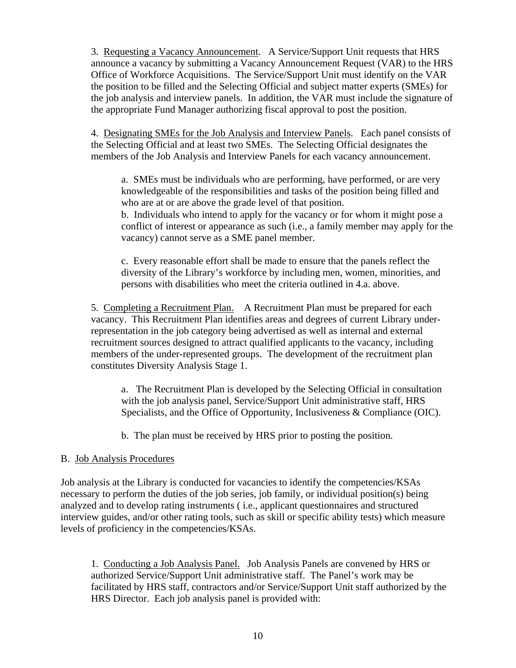3. Requesting a Vacancy Announcement. A Service/Support Unit requests that HRS announce a vacancy by submitting a Vacancy Announcement Request (VAR) to the HRS Office of Workforce Acquisitions. The Service/Support Unit must identify on the VAR the position to be filled and the Selecting Official and subject matter experts (SMEs) for the job analysis and interview panels. In addition, the VAR must include the signature of the appropriate Fund Manager authorizing fiscal approval to post the position.

4. Designating SMEs for the Job Analysis and Interview Panels. Each panel consists of the Selecting Official and at least two SMEs. The Selecting Official designates the members of the Job Analysis and Interview Panels for each vacancy announcement.

a. SMEs must be individuals who are performing, have performed, or are very knowledgeable of the responsibilities and tasks of the position being filled and who are at or are above the grade level of that position.

b. Individuals who intend to apply for the vacancy or for whom it might pose a conflict of interest or appearance as such (i.e., a family member may apply for the vacancy) cannot serve as a SME panel member.

c. Every reasonable effort shall be made to ensure that the panels reflect the diversity of the Library's workforce by including men, women, minorities, and persons with disabilities who meet the criteria outlined in 4.a. above.

5. Completing a Recruitment Plan. A Recruitment Plan must be prepared for each vacancy. This Recruitment Plan identifies areas and degrees of current Library underrepresentation in the job category being advertised as well as internal and external recruitment sources designed to attract qualified applicants to the vacancy, including members of the under-represented groups. The development of the recruitment plan constitutes Diversity Analysis Stage 1.

a. The Recruitment Plan is developed by the Selecting Official in consultation with the job analysis panel, Service/Support Unit administrative staff, HRS Specialists, and the Office of Opportunity, Inclusiveness & Compliance (OIC).

b. The plan must be received by HRS prior to posting the position.

## B. Job Analysis Procedures

Job analysis at the Library is conducted for vacancies to identify the competencies/KSAs necessary to perform the duties of the job series, job family, or individual position(s) being analyzed and to develop rating instruments ( i.e., applicant questionnaires and structured interview guides, and/or other rating tools, such as skill or specific ability tests) which measure levels of proficiency in the competencies/KSAs.

1. Conducting a Job Analysis Panel. Job Analysis Panels are convened by HRS or authorized Service/Support Unit administrative staff. The Panel's work may be facilitated by HRS staff, contractors and/or Service/Support Unit staff authorized by the HRS Director. Each job analysis panel is provided with: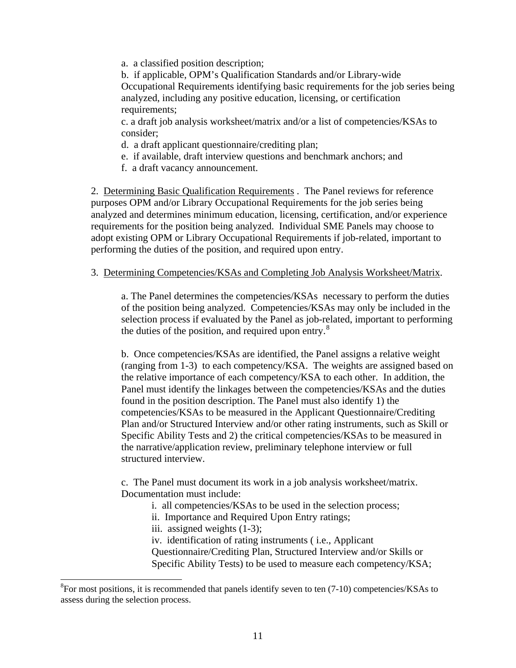a. a classified position description;

b. if applicable, OPM's Qualification Standards and/or Library-wide Occupational Requirements identifying basic requirements for the job series being analyzed, including any positive education, licensing, or certification requirements;

c. a draft job analysis worksheet/matrix and/or a list of competencies/KSAs to consider;

- d. a draft applicant questionnaire/crediting plan;
- e. if available, draft interview questions and benchmark anchors; and
- f. a draft vacancy announcement.

2. Determining Basic Qualification Requirements. The Panel reviews for reference purposes OPM and/or Library Occupational Requirements for the job series being analyzed and determines minimum education, licensing, certification, and/or experience requirements for the position being analyzed. Individual SME Panels may choose to adopt existing OPM or Library Occupational Requirements if job-related, important to performing the duties of the position, and required upon entry.

#### 3. Determining Competencies/KSAs and Completing Job Analysis Worksheet/Matrix.

a. The Panel determines the competencies/KSAs necessary to perform the duties of the position being analyzed. Competencies/KSAs may only be included in the selection process if evaluated by the Panel as job-related, important to performing the duties of the position, and required upon entry. $8$ 

b. Once competencies/KSAs are identified, the Panel assigns a relative weight (ranging from 1-3) to each competency/KSA. The weights are assigned based on the relative importance of each competency/KSA to each other. In addition, the Panel must identify the linkages between the competencies/KSAs and the duties found in the position description. The Panel must also identify 1) the competencies/KSAs to be measured in the Applicant Questionnaire/Crediting Plan and/or Structured Interview and/or other rating instruments, such as Skill or Specific Ability Tests and 2) the critical competencies/KSAs to be measured in the narrative/application review, preliminary telephone interview or full structured interview.

c. The Panel must document its work in a job analysis worksheet/matrix. Documentation must include:

- i. all competencies/KSAs to be used in the selection process;
- ii. Importance and Required Upon Entry ratings;
- iii. assigned weights (1-3);

 $\overline{a}$ 

iv. identification of rating instruments ( i.e., Applicant Questionnaire/Crediting Plan, Structured Interview and/or Skills or Specific Ability Tests) to be used to measure each competency/KSA;

<span id="page-10-0"></span> ${}^{8}$ For most positions, it is recommended that panels identify seven to ten (7-10) competencies/KSAs to assess during the selection process.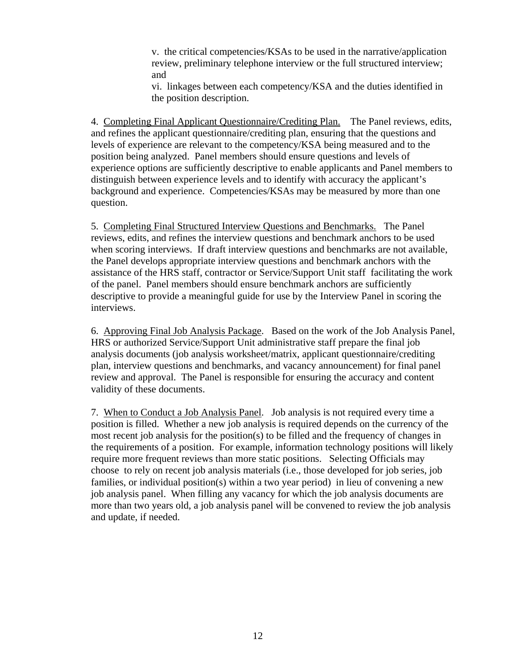v. the critical competencies/KSAs to be used in the narrative/application review, preliminary telephone interview or the full structured interview; and

vi. linkages between each competency/KSA and the duties identified in the position description.

4. Completing Final Applicant Questionnaire/Crediting Plan. The Panel reviews, edits, and refines the applicant questionnaire/crediting plan, ensuring that the questions and levels of experience are relevant to the competency/KSA being measured and to the position being analyzed. Panel members should ensure questions and levels of experience options are sufficiently descriptive to enable applicants and Panel members to distinguish between experience levels and to identify with accuracy the applicant's background and experience. Competencies/KSAs may be measured by more than one question.

5. Completing Final Structured Interview Questions and Benchmarks. The Panel reviews, edits, and refines the interview questions and benchmark anchors to be used when scoring interviews. If draft interview questions and benchmarks are not available, the Panel develops appropriate interview questions and benchmark anchors with the assistance of the HRS staff, contractor or Service/Support Unit staff facilitating the work of the panel. Panel members should ensure benchmark anchors are sufficiently descriptive to provide a meaningful guide for use by the Interview Panel in scoring the interviews.

6. Approving Final Job Analysis Package. Based on the work of the Job Analysis Panel, HRS or authorized Service/Support Unit administrative staff prepare the final job analysis documents (job analysis worksheet/matrix, applicant questionnaire/crediting plan, interview questions and benchmarks, and vacancy announcement) for final panel review and approval. The Panel is responsible for ensuring the accuracy and content validity of these documents.

7. When to Conduct a Job Analysis Panel. Job analysis is not required every time a position is filled. Whether a new job analysis is required depends on the currency of the most recent job analysis for the position(s) to be filled and the frequency of changes in the requirements of a position. For example, information technology positions will likely require more frequent reviews than more static positions. Selecting Officials may choose to rely on recent job analysis materials (i.e., those developed for job series, job families, or individual position(s) within a two year period) in lieu of convening a new job analysis panel. When filling any vacancy for which the job analysis documents are more than two years old, a job analysis panel will be convened to review the job analysis and update, if needed.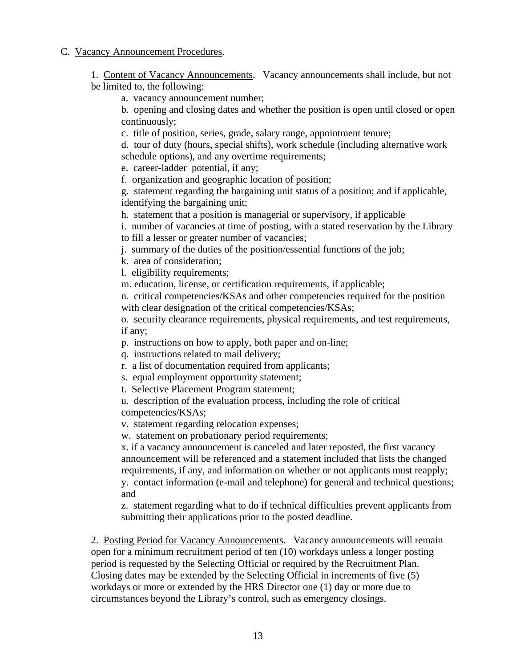### C. Vacancy Announcement Procedures.

1. Content of Vacancy Announcements. Vacancy announcements shall include, but not be limited to, the following:

a. vacancy announcement number;

b. opening and closing dates and whether the position is open until closed or open continuously;

c. title of position, series, grade, salary range, appointment tenure;

d. tour of duty (hours, special shifts), work schedule (including alternative work schedule options), and any overtime requirements;

e. career-ladder potential, if any;

f. organization and geographic location of position;

g. statement regarding the bargaining unit status of a position; and if applicable, identifying the bargaining unit;

h. statement that a position is managerial or supervisory, if applicable

i. number of vacancies at time of posting, with a stated reservation by the Library to fill a lesser or greater number of vacancies;

j. summary of the duties of the position/essential functions of the job;

k. area of consideration;

l. eligibility requirements;

m. education, license, or certification requirements, if applicable;

n. critical competencies/KSAs and other competencies required for the position with clear designation of the critical competencies/KSAs;

o. security clearance requirements, physical requirements, and test requirements, if any;

p. instructions on how to apply, both paper and on-line;

q. instructions related to mail delivery;

r. a list of documentation required from applicants;

s. equal employment opportunity statement;

t. Selective Placement Program statement;

u. description of the evaluation process, including the role of critical competencies/KSAs;

v. statement regarding relocation expenses;

w. statement on probationary period requirements;

x. if a vacancy announcement is canceled and later reposted, the first vacancy announcement will be referenced and a statement included that lists the changed requirements, if any, and information on whether or not applicants must reapply; y. contact information (e-mail and telephone) for general and technical questions; and

 z. statement regarding what to do if technical difficulties prevent applicants from submitting their applications prior to the posted deadline.

2. Posting Period for Vacancy Announcements. Vacancy announcements will remain open for a minimum recruitment period of ten (10) workdays unless a longer posting period is requested by the Selecting Official or required by the Recruitment Plan. Closing dates may be extended by the Selecting Official in increments of five (5) workdays or more or extended by the HRS Director one (1) day or more due to circumstances beyond the Library's control, such as emergency closings.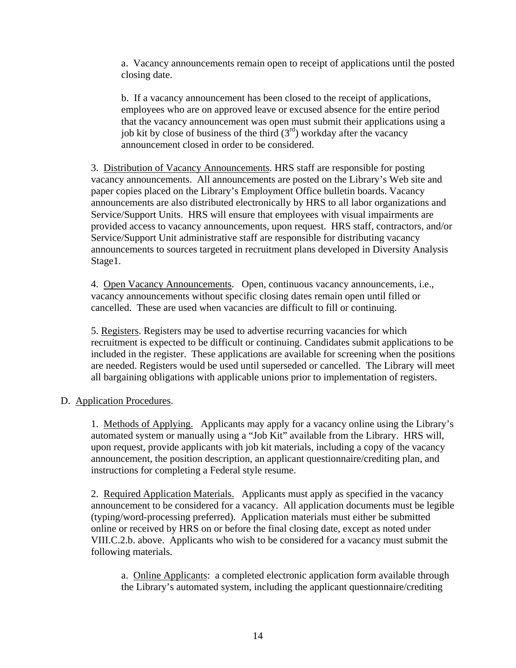a. Vacancy announcements remain open to receipt of applications until the posted closing date.

b. If a vacancy announcement has been closed to the receipt of applications, employees who are on approved leave or excused absence for the entire period that the vacancy announcement was open must submit their applications using a job kit by close of business of the third  $(3<sup>rd</sup>)$  workday after the vacancy announcement closed in order to be considered.

3. Distribution of Vacancy Announcements. HRS staff are responsible for posting vacancy announcements. All announcements are posted on the Library's Web site and paper copies placed on the Library's Employment Office bulletin boards. Vacancy announcements are also distributed electronically by HRS to all labor organizations and Service/Support Units. HRS will ensure that employees with visual impairments are provided access to vacancy announcements, upon request. HRS staff, contractors, and/or Service/Support Unit administrative staff are responsible for distributing vacancy announcements to sources targeted in recruitment plans developed in Diversity Analysis Stage1.

4. Open Vacancy Announcements. Open, continuous vacancy announcements, i.e., vacancy announcements without specific closing dates remain open until filled or cancelled. These are used when vacancies are difficult to fill or continuing.

5. Registers. Registers may be used to advertise recurring vacancies for which recruitment is expected to be difficult or continuing. Candidates submit applications to be included in the register. These applications are available for screening when the positions are needed. Registers would be used until superseded or cancelled. The Library will meet all bargaining obligations with applicable unions prior to implementation of registers.

## D. Application Procedures.

1. Methods of Applying. Applicants may apply for a vacancy online using the Library's automated system or manually using a "Job Kit" available from the Library. HRS will, upon request, provide applicants with job kit materials, including a copy of the vacancy announcement, the position description, an applicant questionnaire/crediting plan, and instructions for completing a Federal style resume.

2. Required Application Materials. Applicants must apply as specified in the vacancy announcement to be considered for a vacancy. All application documents must be legible (typing/word-processing preferred). Application materials must either be submitted online or received by HRS on or before the final closing date, except as noted under VIII.C.2.b. above. Applicants who wish to be considered for a vacancy must submit the following materials.

a. Online Applicants: a completed electronic application form available through the Library's automated system, including the applicant questionnaire/crediting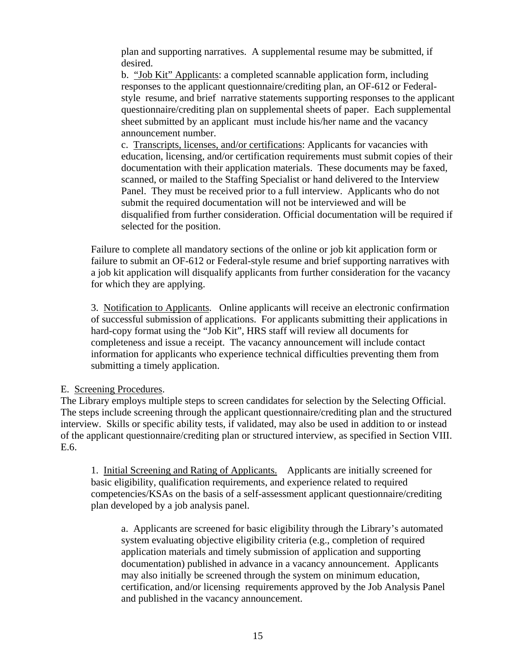plan and supporting narratives. A supplemental resume may be submitted, if desired.

b. "Job Kit" Applicants: a completed scannable application form, including responses to the applicant questionnaire/crediting plan, an OF-612 or Federalstyle resume, and brief narrative statements supporting responses to the applicant questionnaire/crediting plan on supplemental sheets of paper. Each supplemental sheet submitted by an applicant must include his/her name and the vacancy announcement number.

c. Transcripts, licenses, and/or certifications: Applicants for vacancies with education, licensing, and/or certification requirements must submit copies of their documentation with their application materials. These documents may be faxed, scanned, or mailed to the Staffing Specialist or hand delivered to the Interview Panel. They must be received prior to a full interview. Applicants who do not submit the required documentation will not be interviewed and will be disqualified from further consideration. Official documentation will be required if selected for the position.

Failure to complete all mandatory sections of the online or job kit application form or failure to submit an OF-612 or Federal-style resume and brief supporting narratives with a job kit application will disqualify applicants from further consideration for the vacancy for which they are applying.

3. Notification to Applicants. Online applicants will receive an electronic confirmation of successful submission of applications. For applicants submitting their applications in hard-copy format using the "Job Kit", HRS staff will review all documents for completeness and issue a receipt. The vacancy announcement will include contact information for applicants who experience technical difficulties preventing them from submitting a timely application.

### E. Screening Procedures.

The Library employs multiple steps to screen candidates for selection by the Selecting Official. The steps include screening through the applicant questionnaire/crediting plan and the structured interview. Skills or specific ability tests, if validated, may also be used in addition to or instead of the applicant questionnaire/crediting plan or structured interview, as specified in Section VIII. E.6.

1. Initial Screening and Rating of Applicants. Applicants are initially screened for basic eligibility, qualification requirements, and experience related to required competencies/KSAs on the basis of a self-assessment applicant questionnaire/crediting plan developed by a job analysis panel.

a. Applicants are screened for basic eligibility through the Library's automated system evaluating objective eligibility criteria (e.g., completion of required application materials and timely submission of application and supporting documentation) published in advance in a vacancy announcement. Applicants may also initially be screened through the system on minimum education, certification, and/or licensing requirements approved by the Job Analysis Panel and published in the vacancy announcement.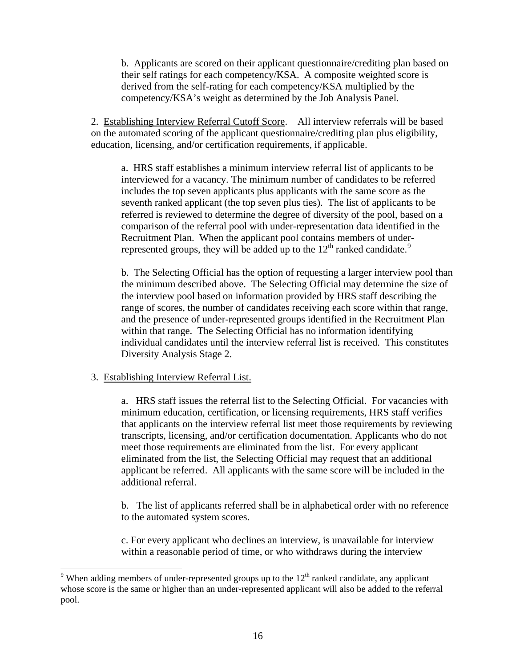b. Applicants are scored on their applicant questionnaire/crediting plan based on their self ratings for each competency/KSA. A composite weighted score is derived from the self-rating for each competency/KSA multiplied by the competency/KSA's weight as determined by the Job Analysis Panel.

2. Establishing Interview Referral Cutoff Score. All interview referrals will be based on the automated scoring of the applicant questionnaire/crediting plan plus eligibility, education, licensing, and/or certification requirements, if applicable.

a. HRS staff establishes a minimum interview referral list of applicants to be interviewed for a vacancy. The minimum number of candidates to be referred includes the top seven applicants plus applicants with the same score as the seventh ranked applicant (the top seven plus ties). The list of applicants to be referred is reviewed to determine the degree of diversity of the pool, based on a comparison of the referral pool with under-representation data identified in the Recruitment Plan. When the applicant pool contains members of underrepresented groups, they will be added up to the  $12<sup>th</sup>$  ranked candidate.<sup>[9](#page-15-0)</sup>

b. The Selecting Official has the option of requesting a larger interview pool than the minimum described above. The Selecting Official may determine the size of the interview pool based on information provided by HRS staff describing the range of scores, the number of candidates receiving each score within that range, and the presence of under-represented groups identified in the Recruitment Plan within that range. The Selecting Official has no information identifying individual candidates until the interview referral list is received. This constitutes Diversity Analysis Stage 2.

#### 3. Establishing Interview Referral List.

 $\overline{a}$ 

a. HRS staff issues the referral list to the Selecting Official. For vacancies with minimum education, certification, or licensing requirements, HRS staff verifies that applicants on the interview referral list meet those requirements by reviewing transcripts, licensing, and/or certification documentation. Applicants who do not meet those requirements are eliminated from the list. For every applicant eliminated from the list, the Selecting Official may request that an additional applicant be referred. All applicants with the same score will be included in the additional referral.

b. The list of applicants referred shall be in alphabetical order with no reference to the automated system scores.

c. For every applicant who declines an interview, is unavailable for interview within a reasonable period of time, or who withdraws during the interview

<span id="page-15-0"></span><sup>&</sup>lt;sup>9</sup> When adding members of under-represented groups up to the  $12<sup>th</sup>$  ranked candidate, any applicant whose score is the same or higher than an under-represented applicant will also be added to the referral pool.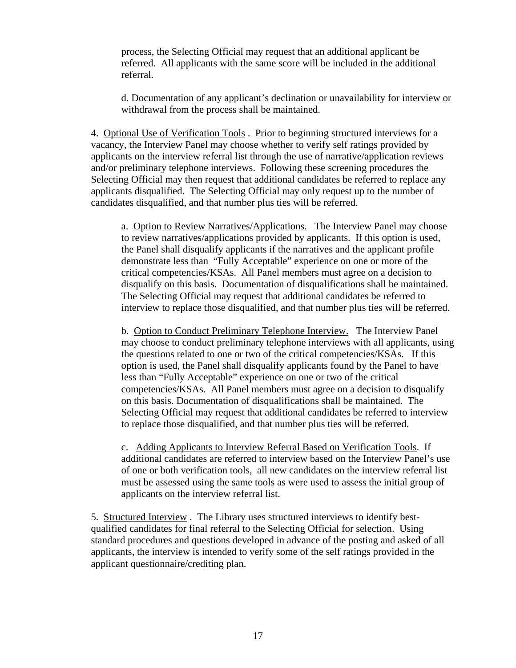process, the Selecting Official may request that an additional applicant be referred. All applicants with the same score will be included in the additional referral.

d. Documentation of any applicant's declination or unavailability for interview or withdrawal from the process shall be maintained.

4. Optional Use of Verification Tools . Prior to beginning structured interviews for a vacancy, the Interview Panel may choose whether to verify self ratings provided by applicants on the interview referral list through the use of narrative/application reviews and/or preliminary telephone interviews. Following these screening procedures the Selecting Official may then request that additional candidates be referred to replace any applicants disqualified. The Selecting Official may only request up to the number of candidates disqualified, and that number plus ties will be referred.

 a. Option to Review Narratives/Applications. The Interview Panel may choose to review narratives/applications provided by applicants. If this option is used, the Panel shall disqualify applicants if the narratives and the applicant profile demonstrate less than "Fully Acceptable" experience on one or more of the critical competencies/KSAs. All Panel members must agree on a decision to disqualify on this basis.Documentation of disqualifications shall be maintained. The Selecting Official may request that additional candidates be referred to interview to replace those disqualified, and that number plus ties will be referred.

b. Option to Conduct Preliminary Telephone Interview. The Interview Panel may choose to conduct preliminary telephone interviews with all applicants, using the questions related to one or two of the critical competencies/KSAs. If this option is used, the Panel shall disqualify applicants found by the Panel to have less than "Fully Acceptable" experience on one or two of the critical competencies/KSAs. All Panel members must agree on a decision to disqualify on this basis. Documentation of disqualifications shall be maintained. The Selecting Official may request that additional candidates be referred to interview to replace those disqualified, and that number plus ties will be referred.

c. Adding Applicants to Interview Referral Based on Verification Tools. If additional candidates are referred to interview based on the Interview Panel's use of one or both verification tools, all new candidates on the interview referral list must be assessed using the same tools as were used to assess the initial group of applicants on the interview referral list.

5. Structured Interview . The Library uses structured interviews to identify bestqualified candidates for final referral to the Selecting Official for selection. Using standard procedures and questions developed in advance of the posting and asked of all applicants, the interview is intended to verify some of the self ratings provided in the applicant questionnaire/crediting plan.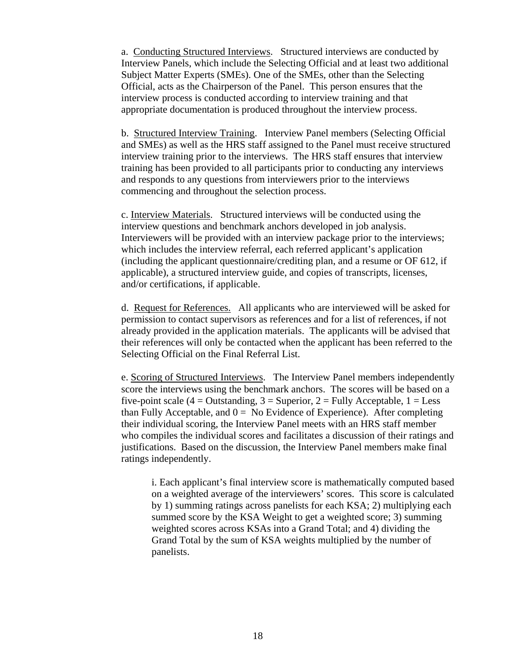a. Conducting Structured Interviews. Structured interviews are conducted by Interview Panels, which include the Selecting Official and at least two additional Subject Matter Experts (SMEs). One of the SMEs, other than the Selecting Official, acts as the Chairperson of the Panel. This person ensures that the interview process is conducted according to interview training and that appropriate documentation is produced throughout the interview process.

b. Structured Interview Training. Interview Panel members (Selecting Official and SMEs) as well as the HRS staff assigned to the Panel must receive structured interview training prior to the interviews. The HRS staff ensures that interview training has been provided to all participants prior to conducting any interviews and responds to any questions from interviewers prior to the interviews commencing and throughout the selection process.

c. Interview Materials. Structured interviews will be conducted using the interview questions and benchmark anchors developed in job analysis. Interviewers will be provided with an interview package prior to the interviews; which includes the interview referral, each referred applicant's application (including the applicant questionnaire/crediting plan, and a resume or OF 612, if applicable), a structured interview guide, and copies of transcripts, licenses, and/or certifications, if applicable.

d. Request for References. All applicants who are interviewed will be asked for permission to contact supervisors as references and for a list of references, if not already provided in the application materials. The applicants will be advised that their references will only be contacted when the applicant has been referred to the Selecting Official on the Final Referral List.

e. Scoring of Structured Interviews. The Interview Panel members independently score the interviews using the benchmark anchors. The scores will be based on a five-point scale (4 = Outstanding, 3 = Superior, 2 = Fully Acceptable,  $1 =$  Less than Fully Acceptable, and  $0 = No$  Evidence of Experience). After completing their individual scoring, the Interview Panel meets with an HRS staff member who compiles the individual scores and facilitates a discussion of their ratings and justifications. Based on the discussion, the Interview Panel members make final ratings independently.

i. Each applicant's final interview score is mathematically computed based on a weighted average of the interviewers' scores. This score is calculated by 1) summing ratings across panelists for each KSA; 2) multiplying each summed score by the KSA Weight to get a weighted score; 3) summing weighted scores across KSAs into a Grand Total; and 4) dividing the Grand Total by the sum of KSA weights multiplied by the number of panelists.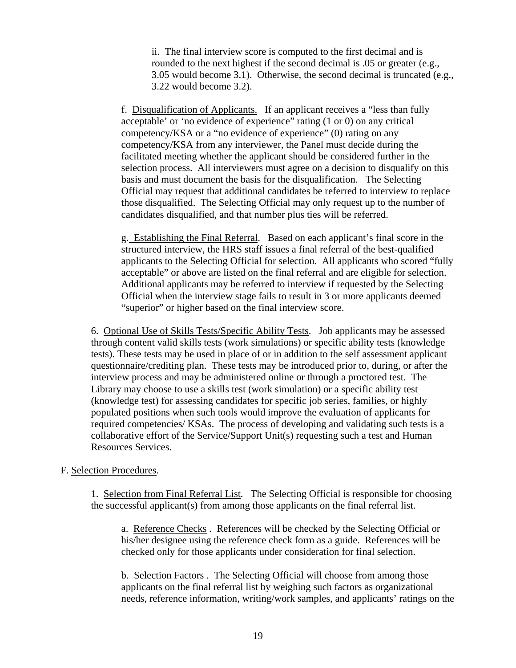ii. The final interview score is computed to the first decimal and is rounded to the next highest if the second decimal is .05 or greater (e.g., 3.05 would become 3.1). Otherwise, the second decimal is truncated (e.g., 3.22 would become 3.2).

f. Disqualification of Applicants. If an applicant receives a "less than fully acceptable' or 'no evidence of experience" rating (1 or 0) on any critical competency/KSA or a "no evidence of experience" (0) rating on any competency/KSA from any interviewer, the Panel must decide during the facilitated meeting whether the applicant should be considered further in the selection process. All interviewers must agree on a decision to disqualify on this basis and must document the basis for the disqualification. The Selecting Official may request that additional candidates be referred to interview to replace those disqualified. The Selecting Official may only request up to the number of candidates disqualified, and that number plus ties will be referred.

g. Establishing the Final Referral. Based on each applicant's final score in the structured interview, the HRS staff issues a final referral of the best-qualified applicants to the Selecting Official for selection. All applicants who scored "fully acceptable" or above are listed on the final referral and are eligible for selection. Additional applicants may be referred to interview if requested by the Selecting Official when the interview stage fails to result in 3 or more applicants deemed "superior" or higher based on the final interview score.

6. Optional Use of Skills Tests/Specific Ability Tests. Job applicants may be assessed through content valid skills tests (work simulations) or specific ability tests (knowledge tests). These tests may be used in place of or in addition to the self assessment applicant questionnaire/crediting plan. These tests may be introduced prior to, during, or after the interview process and may be administered online or through a proctored test. The Library may choose to use a skills test (work simulation) or a specific ability test (knowledge test) for assessing candidates for specific job series, families, or highly populated positions when such tools would improve the evaluation of applicants for required competencies/ KSAs. The process of developing and validating such tests is a collaborative effort of the Service/Support Unit(s) requesting such a test and Human Resources Services.

#### F. Selection Procedures.

1. Selection from Final Referral List. The Selecting Official is responsible for choosing the successful applicant(s) from among those applicants on the final referral list.

a. Reference Checks . References will be checked by the Selecting Official or his/her designee using the reference check form as a guide. References will be checked only for those applicants under consideration for final selection.

b. Selection Factors . The Selecting Official will choose from among those applicants on the final referral list by weighing such factors as organizational needs, reference information, writing/work samples, and applicants' ratings on the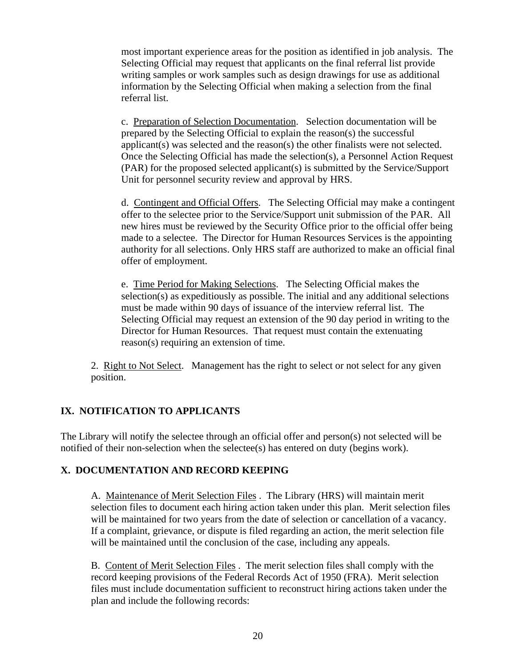most important experience areas for the position as identified in job analysis. The Selecting Official may request that applicants on the final referral list provide writing samples or work samples such as design drawings for use as additional information by the Selecting Official when making a selection from the final referral list.

c. Preparation of Selection Documentation. Selection documentation will be prepared by the Selecting Official to explain the reason(s) the successful applicant(s) was selected and the reason(s) the other finalists were not selected. Once the Selecting Official has made the selection(s), a Personnel Action Request (PAR) for the proposed selected applicant(s) is submitted by the Service/Support Unit for personnel security review and approval by HRS.

d. Contingent and Official Offers. The Selecting Official may make a contingent offer to the selectee prior to the Service/Support unit submission of the PAR. All new hires must be reviewed by the Security Office prior to the official offer being made to a selectee. The Director for Human Resources Services is the appointing authority for all selections. Only HRS staff are authorized to make an official final offer of employment.

e. Time Period for Making Selections. The Selecting Official makes the selection(s) as expeditiously as possible. The initial and any additional selections must be made within 90 days of issuance of the interview referral list. The Selecting Official may request an extension of the 90 day period in writing to the Director for Human Resources. That request must contain the extenuating reason(s) requiring an extension of time.

2. Right to Not Select. Management has the right to select or not select for any given position.

# **IX. NOTIFICATION TO APPLICANTS**

The Library will notify the selectee through an official offer and person(s) not selected will be notified of their non-selection when the selectee(s) has entered on duty (begins work).

## **X. DOCUMENTATION AND RECORD KEEPING**

A. Maintenance of Merit Selection Files . The Library (HRS) will maintain merit selection files to document each hiring action taken under this plan. Merit selection files will be maintained for two years from the date of selection or cancellation of a vacancy. If a complaint, grievance, or dispute is filed regarding an action, the merit selection file will be maintained until the conclusion of the case, including any appeals.

B. Content of Merit Selection Files . The merit selection files shall comply with the record keeping provisions of the Federal Records Act of 1950 (FRA). Merit selection files must include documentation sufficient to reconstruct hiring actions taken under the plan and include the following records: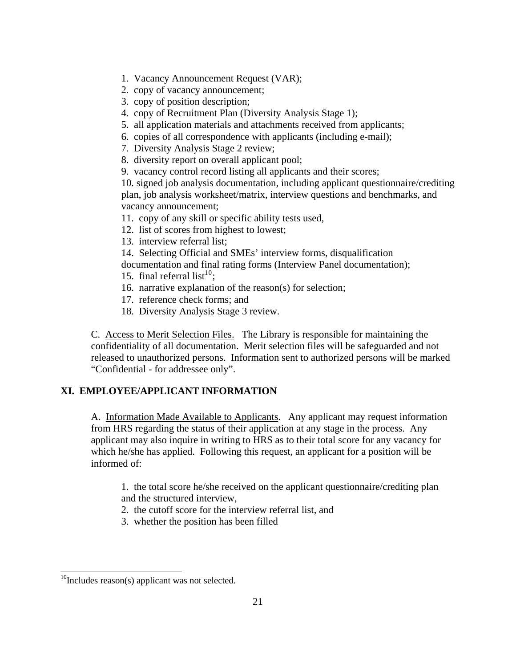- 1. Vacancy Announcement Request (VAR);
- 2. copy of vacancy announcement;
- 3. copy of position description;
- 4. copy of Recruitment Plan (Diversity Analysis Stage 1);
- 5. all application materials and attachments received from applicants;
- 6. copies of all correspondence with applicants (including e-mail);
- 7. Diversity Analysis Stage 2 review;
- 8. diversity report on overall applicant pool;
- 9. vacancy control record listing all applicants and their scores;

10. signed job analysis documentation, including applicant questionnaire/crediting plan, job analysis worksheet/matrix, interview questions and benchmarks, and vacancy announcement;

11. copy of any skill or specific ability tests used,

- 12. list of scores from highest to lowest;
- 13. interview referral list;
- 14. Selecting Official and SMEs' interview forms, disqualification

documentation and final rating forms (Interview Panel documentation);

- 15. final referral list<sup>1[0](#page-20-0)</sup>;
- 16. narrative explanation of the reason(s) for selection;
- 17. reference check forms; and
- 18. Diversity Analysis Stage 3 review.

C. Access to Merit Selection Files. The Library is responsible for maintaining the confidentiality of all documentation. Merit selection files will be safeguarded and not released to unauthorized persons. Information sent to authorized persons will be marked "Confidential - for addressee only".

### **XI. EMPLOYEE/APPLICANT INFORMATION**

A. Information Made Available to Applicants. Any applicant may request information from HRS regarding the status of their application at any stage in the process. Any applicant may also inquire in writing to HRS as to their total score for any vacancy for which he/she has applied. Following this request, an applicant for a position will be informed of:

1. the total score he/she received on the applicant questionnaire/crediting plan and the structured interview,

- 2. the cutoff score for the interview referral list, and
- 3. whether the position has been filled

 $\overline{a}$ 

<span id="page-20-0"></span> $10$ Includes reason(s) applicant was not selected.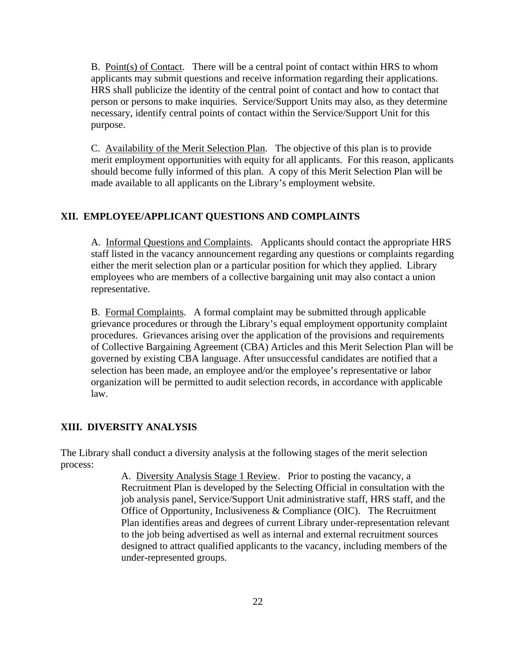B. Point(s) of Contact. There will be a central point of contact within HRS to whom applicants may submit questions and receive information regarding their applications. HRS shall publicize the identity of the central point of contact and how to contact that person or persons to make inquiries. Service/Support Units may also, as they determine necessary, identify central points of contact within the Service/Support Unit for this purpose.

C. Availability of the Merit Selection Plan. The objective of this plan is to provide merit employment opportunities with equity for all applicants. For this reason, applicants should become fully informed of this plan. A copy of this Merit Selection Plan will be made available to all applicants on the Library's employment website.

### **XII. EMPLOYEE/APPLICANT QUESTIONS AND COMPLAINTS**

A. Informal Questions and Complaints. Applicants should contact the appropriate HRS staff listed in the vacancy announcement regarding any questions or complaints regarding either the merit selection plan or a particular position for which they applied. Library employees who are members of a collective bargaining unit may also contact a union representative.

B. Formal Complaints. A formal complaint may be submitted through applicable grievance procedures or through the Library's equal employment opportunity complaint procedures. Grievances arising over the application of the provisions and requirements of Collective Bargaining Agreement (CBA) Articles and this Merit Selection Plan will be governed by existing CBA language. After unsuccessful candidates are notified that a selection has been made, an employee and/or the employee's representative or labor organization will be permitted to audit selection records, in accordance with applicable law.

### **XIII. DIVERSITY ANALYSIS**

The Library shall conduct a diversity analysis at the following stages of the merit selection process:

> A. Diversity Analysis Stage 1 Review. Prior to posting the vacancy, a Recruitment Plan is developed by the Selecting Official in consultation with the job analysis panel, Service/Support Unit administrative staff, HRS staff, and the Office of Opportunity, Inclusiveness & Compliance (OIC). The Recruitment Plan identifies areas and degrees of current Library under-representation relevant to the job being advertised as well as internal and external recruitment sources designed to attract qualified applicants to the vacancy, including members of the under-represented groups.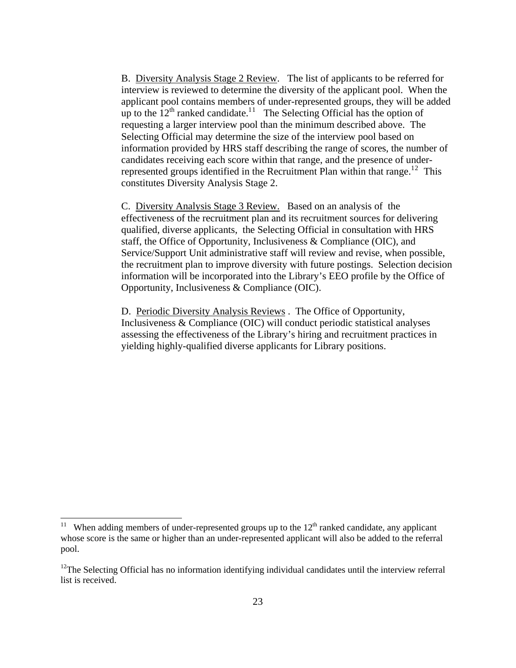B. Diversity Analysis Stage 2 Review. The list of applicants to be referred for interview is reviewed to determine the diversity of the applicant pool. When the applicant pool contains members of under-represented groups, they will be added up to the  $12<sup>th</sup>$  $12<sup>th</sup>$  ranked candidate.<sup>11</sup> The Selecting Official has the option of requesting a larger interview pool than the minimum described above. The Selecting Official may determine the size of the interview pool based on information provided by HRS staff describing the range of scores, the number of candidates receiving each score within that range, and the presence of under-represented groups identified in the Recruitment Plan within that range.<sup>1[2](#page-22-1)</sup> This constitutes Diversity Analysis Stage 2.

C. Diversity Analysis Stage 3 Review. Based on an analysis of the effectiveness of the recruitment plan and its recruitment sources for delivering qualified, diverse applicants, the Selecting Official in consultation with HRS staff, the Office of Opportunity, Inclusiveness & Compliance (OIC), and Service/Support Unit administrative staff will review and revise, when possible, the recruitment plan to improve diversity with future postings. Selection decision information will be incorporated into the Library's EEO profile by the Office of Opportunity, Inclusiveness & Compliance (OIC).

D. Periodic Diversity Analysis Reviews . The Office of Opportunity, Inclusiveness & Compliance (OIC) will conduct periodic statistical analyses assessing the effectiveness of the Library's hiring and recruitment practices in yielding highly-qualified diverse applicants for Library positions.

 $\overline{a}$ 

<span id="page-22-0"></span><sup>&</sup>lt;sup>11</sup> When adding members of under-represented groups up to the  $12<sup>th</sup>$  ranked candidate, any applicant whose score is the same or higher than an under-represented applicant will also be added to the referral pool.

<span id="page-22-1"></span><sup>&</sup>lt;sup>12</sup>The Selecting Official has no information identifying individual candidates until the interview referral list is received.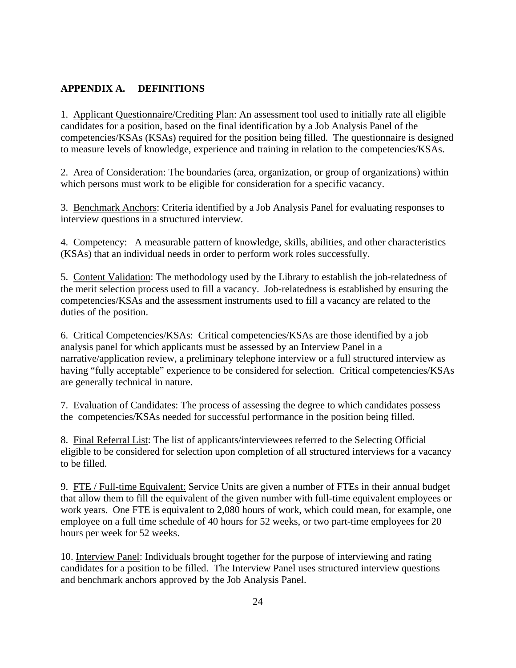### **APPENDIX A. DEFINITIONS**

1. Applicant Questionnaire/Crediting Plan: An assessment tool used to initially rate all eligible candidates for a position, based on the final identification by a Job Analysis Panel of the competencies/KSAs (KSAs) required for the position being filled. The questionnaire is designed to measure levels of knowledge, experience and training in relation to the competencies/KSAs.

2. Area of Consideration: The boundaries (area, organization, or group of organizations) within which persons must work to be eligible for consideration for a specific vacancy.

3. Benchmark Anchors: Criteria identified by a Job Analysis Panel for evaluating responses to interview questions in a structured interview.

4. Competency: A measurable pattern of knowledge, skills, abilities, and other characteristics (KSAs) that an individual needs in order to perform work roles successfully.

5. Content Validation: The methodology used by the Library to establish the job-relatedness of the merit selection process used to fill a vacancy. Job-relatedness is established by ensuring the competencies/KSAs and the assessment instruments used to fill a vacancy are related to the duties of the position.

6. Critical Competencies/KSAs: Critical competencies/KSAs are those identified by a job analysis panel for which applicants must be assessed by an Interview Panel in a narrative/application review, a preliminary telephone interview or a full structured interview as having "fully acceptable" experience to be considered for selection. Critical competencies/KSAs are generally technical in nature.

7. Evaluation of Candidates: The process of assessing the degree to which candidates possess the competencies/KSAs needed for successful performance in the position being filled.

8. Final Referral List: The list of applicants/interviewees referred to the Selecting Official eligible to be considered for selection upon completion of all structured interviews for a vacancy to be filled.

9. FTE / Full-time Equivalent: Service Units are given a number of FTEs in their annual budget that allow them to fill the equivalent of the given number with full-time equivalent employees or work years. One FTE is equivalent to 2,080 hours of work, which could mean, for example, one employee on a full time schedule of 40 hours for 52 weeks, or two part-time employees for 20 hours per week for 52 weeks.

10. Interview Panel: Individuals brought together for the purpose of interviewing and rating candidates for a position to be filled. The Interview Panel uses structured interview questions and benchmark anchors approved by the Job Analysis Panel.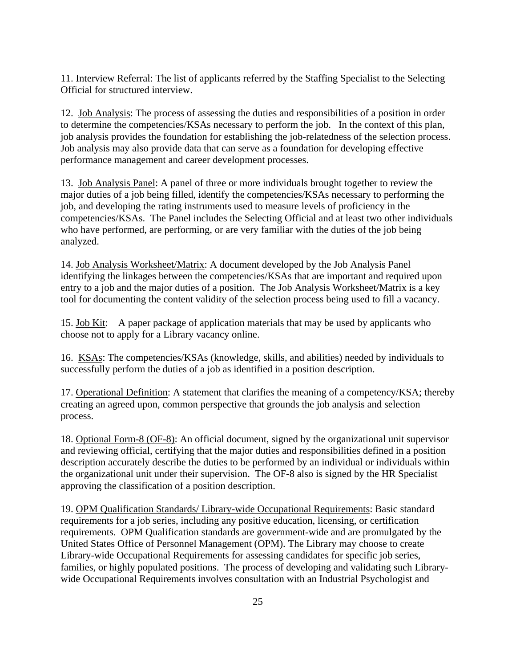11. Interview Referral: The list of applicants referred by the Staffing Specialist to the Selecting Official for structured interview.

12. Job Analysis: The process of assessing the duties and responsibilities of a position in order to determine the competencies/KSAs necessary to perform the job. In the context of this plan, job analysis provides the foundation for establishing the job-relatedness of the selection process. Job analysis may also provide data that can serve as a foundation for developing effective performance management and career development processes.

13. Job Analysis Panel: A panel of three or more individuals brought together to review the major duties of a job being filled, identify the competencies/KSAs necessary to performing the job, and developing the rating instruments used to measure levels of proficiency in the competencies/KSAs. The Panel includes the Selecting Official and at least two other individuals who have performed, are performing, or are very familiar with the duties of the job being analyzed.

14. Job Analysis Worksheet/Matrix: A document developed by the Job Analysis Panel identifying the linkages between the competencies/KSAs that are important and required upon entry to a job and the major duties of a position. The Job Analysis Worksheet/Matrix is a key tool for documenting the content validity of the selection process being used to fill a vacancy.

15. Job Kit: A paper package of application materials that may be used by applicants who choose not to apply for a Library vacancy online.

16. KSAs: The competencies/KSAs (knowledge, skills, and abilities) needed by individuals to successfully perform the duties of a job as identified in a position description.

17. Operational Definition: A statement that clarifies the meaning of a competency/KSA; thereby creating an agreed upon, common perspective that grounds the job analysis and selection process.

18. Optional Form-8 (OF-8): An official document, signed by the organizational unit supervisor and reviewing official, certifying that the major duties and responsibilities defined in a position description accurately describe the duties to be performed by an individual or individuals within the organizational unit under their supervision. The OF-8 also is signed by the HR Specialist approving the classification of a position description.

19. OPM Qualification Standards/ Library-wide Occupational Requirements: Basic standard requirements for a job series, including any positive education, licensing, or certification requirements. OPM Qualification standards are government-wide and are promulgated by the United States Office of Personnel Management (OPM). The Library may choose to create Library-wide Occupational Requirements for assessing candidates for specific job series, families, or highly populated positions. The process of developing and validating such Librarywide Occupational Requirements involves consultation with an Industrial Psychologist and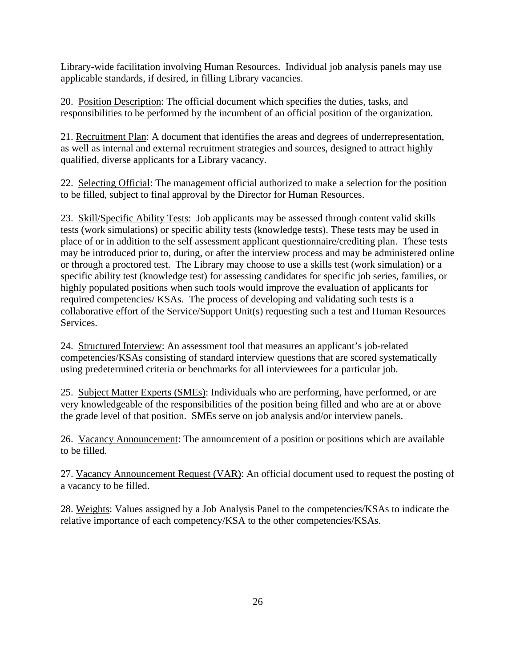Library-wide facilitation involving Human Resources. Individual job analysis panels may use applicable standards, if desired, in filling Library vacancies.

20. Position Description: The official document which specifies the duties, tasks, and responsibilities to be performed by the incumbent of an official position of the organization.

21. Recruitment Plan: A document that identifies the areas and degrees of underrepresentation, as well as internal and external recruitment strategies and sources, designed to attract highly qualified, diverse applicants for a Library vacancy.

22. Selecting Official: The management official authorized to make a selection for the position to be filled, subject to final approval by the Director for Human Resources.

23. Skill/Specific Ability Tests: Job applicants may be assessed through content valid skills tests (work simulations) or specific ability tests (knowledge tests). These tests may be used in place of or in addition to the self assessment applicant questionnaire/crediting plan. These tests may be introduced prior to, during, or after the interview process and may be administered online or through a proctored test. The Library may choose to use a skills test (work simulation) or a specific ability test (knowledge test) for assessing candidates for specific job series, families, or highly populated positions when such tools would improve the evaluation of applicants for required competencies/ KSAs. The process of developing and validating such tests is a collaborative effort of the Service/Support Unit(s) requesting such a test and Human Resources Services.

24. Structured Interview: An assessment tool that measures an applicant's job-related competencies/KSAs consisting of standard interview questions that are scored systematically using predetermined criteria or benchmarks for all interviewees for a particular job.

25. Subject Matter Experts (SMEs): Individuals who are performing, have performed, or are very knowledgeable of the responsibilities of the position being filled and who are at or above the grade level of that position. SMEs serve on job analysis and/or interview panels.

26. Vacancy Announcement: The announcement of a position or positions which are available to be filled.

27. Vacancy Announcement Request (VAR): An official document used to request the posting of a vacancy to be filled.

28. Weights: Values assigned by a Job Analysis Panel to the competencies/KSAs to indicate the relative importance of each competency/KSA to the other competencies/KSAs.